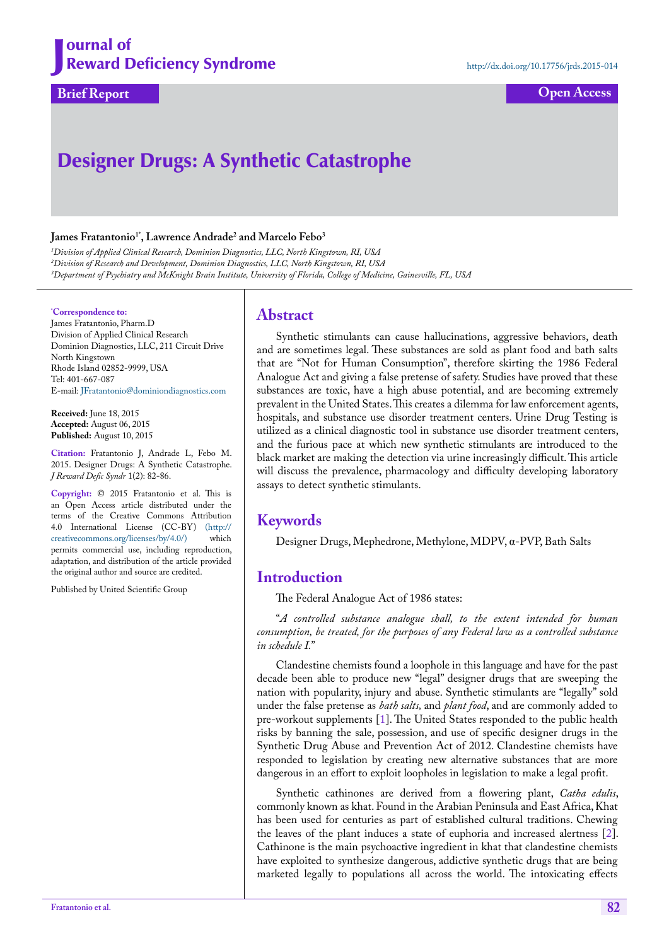**Brief Report Open Access**

# Designer Drugs: A Synthetic Catastrophe

#### **James Fratantonio1\*, Lawrence Andrade2 and Marcelo Febo3**

*1 Division of Applied Clinical Research, Dominion Diagnostics, LLC, North Kingstown, RI, USA 2 Division of Research and Development, Dominion Diagnostics, LLC, North Kingstown, RI, USA 3 Department of Psychiatry and McKnight Brain Institute, University of Florida, College of Medicine, Gainesville, FL, USA*

#### **\* Correspondence to:**

James Fratantonio, Pharm.D Division of Applied Clinical Research Dominion Diagnostics, LLC, 211 Circuit Drive North Kingstown Rhode Island 02852-9999, USA Tel: 401-667-087 E-mail: JFratantonio@dominiondiagnostics.com

**Received:** June 18, 2015 **Accepted:** August 06, 2015 **Published:** August 10, 2015

**Citation:** Fratantonio J, Andrade L, Febo M. 2015. Designer Drugs: A Synthetic Catastrophe. *J Reward Defic Syndr* 1(2): 82-86.

**Copyright:** © 2015 Fratantonio et al. This is an Open Access article distributed under the terms of the Creative Commons Attribution 4.0 International License (CC-BY) [\(http://](http://creativecommons.org/licenses/by/4.0/) [creativecommons.org/licenses/by/4.0/\)](http://creativecommons.org/licenses/by/4.0/) which permits commercial use, including reproduction, adaptation, and distribution of the article provided the original author and source are credited.

Published by United Scientific Group

#### **Abstract**

Synthetic stimulants can cause hallucinations, aggressive behaviors, death and are sometimes legal. These substances are sold as plant food and bath salts that are "Not for Human Consumption", therefore skirting the 1986 Federal Analogue Act and giving a false pretense of safety. Studies have proved that these substances are toxic, have a high abuse potential, and are becoming extremely prevalent in the United States. This creates a dilemma for law enforcement agents, hospitals, and substance use disorder treatment centers. Urine Drug Testing is utilized as a clinical diagnostic tool in substance use disorder treatment centers, and the furious pace at which new synthetic stimulants are introduced to the black market are making the detection via urine increasingly difficult. This article will discuss the prevalence, pharmacology and difficulty developing laboratory assays to detect synthetic stimulants.

# **Keywords**

Designer Drugs, Mephedrone, Methylone, MDPV, α-PVP, Bath Salts

# **Introduction**

The Federal Analogue Act of 1986 states:

"*A controlled substance analogue shall, to the extent intended for human consumption, be treated, for the purposes of any Federal law as a controlled substance in schedule I.*"

Clandestine chemists found a loophole in this language and have for the past decade been able to produce new "legal" designer drugs that are sweeping the nation with popularity, injury and abuse. Synthetic stimulants are "legally" sold under the false pretense as *bath salts,* and *plant food*, and are commonly added to pre-workout supplements [\[1](#page-3-0)]. The United States responded to the public health risks by banning the sale, possession, and use of specific designer drugs in the Synthetic Drug Abuse and Prevention Act of 2012. Clandestine chemists have responded to legislation by creating new alternative substances that are more dangerous in an effort to exploit loopholes in legislation to make a legal profit.

Synthetic cathinones are derived from a flowering plant, *Catha edulis*, commonly known as khat. Found in the Arabian Peninsula and East Africa, Khat has been used for centuries as part of established cultural traditions. Chewing the leaves of the plant induces a state of euphoria and increased alertness [[2\]](#page-3-1). Cathinone is the main psychoactive ingredient in khat that clandestine chemists have exploited to synthesize dangerous, addictive synthetic drugs that are being marketed legally to populations all across the world. The intoxicating effects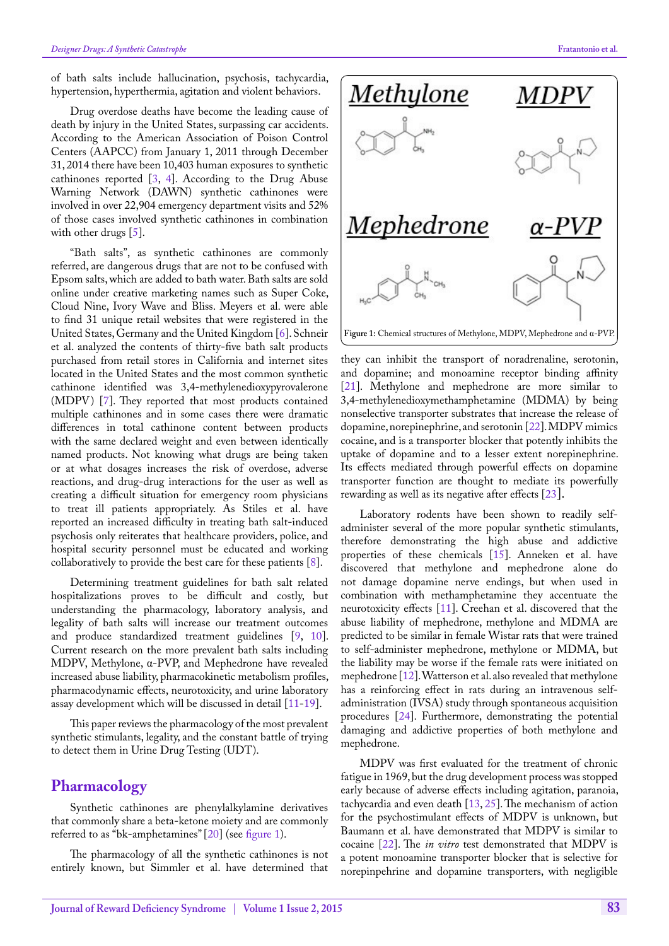of bath salts include hallucination, psychosis, tachycardia, hypertension, hyperthermia, agitation and violent behaviors.

Drug overdose deaths have become the leading cause of death by injury in the United States, surpassing car accidents. According to the American Association of Poison Control Centers (AAPCC) from January 1, 2011 through December 31, 2014 there have been 10,403 human exposures to synthetic cathinones reported  $[3, 4]$  $[3, 4]$  $[3, 4]$  $[3, 4]$  $[3, 4]$ . According to the Drug Abuse Warning Network (DAWN) synthetic cathinones were involved in over 22,904 emergency department visits and 52% of those cases involved synthetic cathinones in combination with other drugs [\[5](#page-3-4)].

"Bath salts", as synthetic cathinones are commonly referred, are dangerous drugs that are not to be confused with Epsom salts, which are added to bath water. Bath salts are sold online under creative marketing names such as Super Coke, Cloud Nine, Ivory Wave and Bliss. Meyers et al. were able to find 31 unique retail websites that were registered in the United States, Germany and the United Kingdom [[6\]](#page-3-5). Schneir et al. analyzed the contents of thirty-five bath salt products purchased from retail stores in California and internet sites located in the United States and the most common synthetic cathinone identified was 3,4-methylenedioxypyrovalerone (MDPV) [[7\]](#page-3-6). They reported that most products contained multiple cathinones and in some cases there were dramatic differences in total cathinone content between products with the same declared weight and even between identically named products. Not knowing what drugs are being taken or at what dosages increases the risk of overdose, adverse reactions, and drug-drug interactions for the user as well as creating a difficult situation for emergency room physicians to treat ill patients appropriately. As Stiles et al. have reported an increased difficulty in treating bath salt-induced psychosis only reiterates that healthcare providers, police, and hospital security personnel must be educated and working collaboratively to provide the best care for these patients [\[8](#page-3-7)].

Determining treatment guidelines for bath salt related hospitalizations proves to be difficult and costly, but understanding the pharmacology, laboratory analysis, and legality of bath salts will increase our treatment outcomes and produce standardized treatment guidelines [\[9](#page-3-8), [10\]](#page-3-9). Current research on the more prevalent bath salts including MDPV, Methylone, α-PVP, and Mephedrone have revealed increased abuse liability, pharmacokinetic metabolism profiles, pharmacodynamic effects, neurotoxicity, and urine laboratory assay development which will be discussed in detail [[11-](#page-3-10)[19\]](#page-3-11).

This paper reviews the pharmacology of the most prevalent synthetic stimulants, legality, and the constant battle of trying to detect them in Urine Drug Testing (UDT).

### **Pharmacology**

Synthetic cathinones are phenylalkylamine derivatives that commonly share a beta-ketone moiety and are commonly referred to as "bk-amphetamines" [[20\]](#page-3-12) (see [figure 1](#page-1-0)).

The pharmacology of all the synthetic cathinones is not entirely known, but Simmler et al. have determined that



<span id="page-1-0"></span>they can inhibit the transport of noradrenaline, serotonin, and dopamine; and monoamine receptor binding affinity [[21\]](#page-3-13). Methylone and mephedrone are more similar to 3,4-methylenedioxymethamphetamine (MDMA) by being nonselective transporter substrates that increase the release of dopamine, norepinephrine, and serotonin [[22\]](#page-4-0). MDPV mimics cocaine, and is a transporter blocker that potently inhibits the uptake of dopamine and to a lesser extent norepinephrine. Its effects mediated through powerful effects on dopamine transporter function are thought to mediate its powerfully rewarding as well as its negative after effects [\[23](#page-4-1)].

Laboratory rodents have been shown to readily selfadminister several of the more popular synthetic stimulants, therefore demonstrating the high abuse and addictive properties of these chemicals [\[15](#page-3-14)]. Anneken et al. have discovered that methylone and mephedrone alone do not damage dopamine nerve endings, but when used in combination with methamphetamine they accentuate the neurotoxicity effects [[11\]](#page-3-10). Creehan et al. discovered that the abuse liability of mephedrone, methylone and MDMA are predicted to be similar in female Wistar rats that were trained to self-administer mephedrone, methylone or MDMA, but the liability may be worse if the female rats were initiated on mephedrone [[12\]](#page-3-15). Watterson et al. also revealed that methylone has a reinforcing effect in rats during an intravenous selfadministration (IVSA) study through spontaneous acquisition procedures [\[24](#page-4-2)]. Furthermore, demonstrating the potential damaging and addictive properties of both methylone and mephedrone.

MDPV was first evaluated for the treatment of chronic fatigue in 1969, but the drug development process was stopped early because of adverse effects including agitation, paranoia, tachycardia and even death [\[13](#page-3-16), [25\]](#page-4-3). The mechanism of action for the psychostimulant effects of MDPV is unknown, but Baumann et al. have demonstrated that MDPV is similar to cocaine [\[22](#page-4-0)]. The *in vitro* test demonstrated that MDPV is a potent monoamine transporter blocker that is selective for norepinpehrine and dopamine transporters, with negligible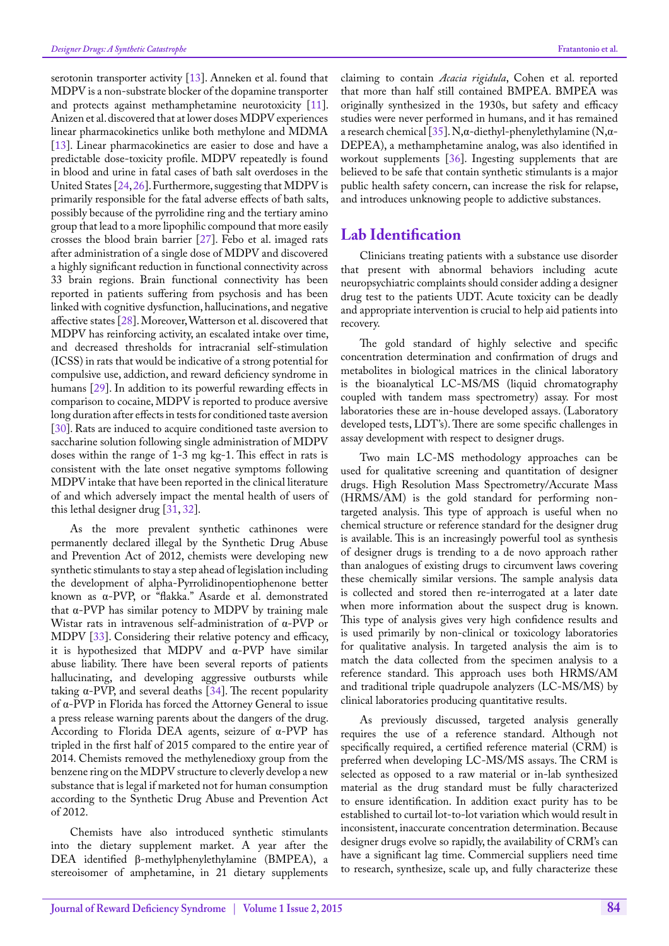serotonin transporter activity  $[13]$  $[13]$ . Anneken et al. found that MDPV is a non-substrate blocker of the dopamine transporter and protects against methamphetamine neurotoxicity [[11\]](#page-3-10). Anizen et al. discovered that at lower doses MDPV experiences linear pharmacokinetics unlike both methylone and MDMA [[13\]](#page-3-16). Linear pharmacokinetics are easier to dose and have a predictable dose-toxicity profile. MDPV repeatedly is found in blood and urine in fatal cases of bath salt overdoses in the United States [[24,](#page-4-2) [26\]](#page-4-4). Furthermore, suggesting that MDPV is primarily responsible for the fatal adverse effects of bath salts, possibly because of the pyrrolidine ring and the tertiary amino group that lead to a more lipophilic compound that more easily crosses the blood brain barrier [\[27](#page-4-5)]. Febo et al. imaged rats after administration of a single dose of MDPV and discovered a highly significant reduction in functional connectivity across 33 brain regions. Brain functional connectivity has been reported in patients suffering from psychosis and has been linked with cognitive dysfunction, hallucinations, and negative affective states  $[28]$  $[28]$ . Moreover, Watterson et al. discovered that MDPV has reinforcing activity, an escalated intake over time, and decreased thresholds for intracranial self-stimulation (ICSS) in rats that would be indicative of a strong potential for compulsive use, addiction, and reward deficiency syndrome in humans [[29\]](#page-4-7). In addition to its powerful rewarding effects in comparison to cocaine, MDPV is reported to produce aversive long duration after effects in tests for conditioned taste aversion [[30\]](#page-4-8). Rats are induced to acquire conditioned taste aversion to saccharine solution following single administration of MDPV doses within the range of 1-3 mg kg-1. This effect in rats is consistent with the late onset negative symptoms following MDPV intake that have been reported in the clinical literature of and which adversely impact the mental health of users of this lethal designer drug [\[31](#page-4-9), [32\]](#page-4-10).

As the more prevalent synthetic cathinones were permanently declared illegal by the Synthetic Drug Abuse and Prevention Act of 2012, chemists were developing new synthetic stimulants to stay a step ahead of legislation including the development of alpha-Pyrrolidinopentiophenone better known as α-PVP, or "flakka." Asarde et al. demonstrated that α-PVP has similar potency to MDPV by training male Wistar rats in intravenous self-administration of α-PVP or MDPV [\[33](#page-4-11)]. Considering their relative potency and efficacy, it is hypothesized that MDPV and α-PVP have similar abuse liability. There have been several reports of patients hallucinating, and developing aggressive outbursts while taking  $α$ -PVP, and several deaths [[34\]](#page-4-12). The recent popularity of α-PVP in Florida has forced the Attorney General to issue a press release warning parents about the dangers of the drug. According to Florida DEA agents, seizure of α-PVP has tripled in the first half of 2015 compared to the entire year of 2014. Chemists removed the methylenedioxy group from the benzene ring on the MDPV structure to cleverly develop a new substance that is legal if marketed not for human consumption according to the Synthetic Drug Abuse and Prevention Act of 2012.

Chemists have also introduced synthetic stimulants into the dietary supplement market. A year after the DEA identified β-methylphenylethylamine (BMPEA), a stereoisomer of amphetamine, in 21 dietary supplements claiming to contain *Acacia rigidula*, Cohen et al. reported that more than half still contained BMPEA. BMPEA was originally synthesized in the 1930s, but safety and efficacy studies were never performed in humans, and it has remained a research chemical [[35\]](#page-4-13). N, $\alpha$ -diethyl-phenylethylamine (N, $\alpha$ -DEPEA), a methamphetamine analog, was also identified in workout supplements [[36\]](#page-4-14). Ingesting supplements that are believed to be safe that contain synthetic stimulants is a major public health safety concern, can increase the risk for relapse, and introduces unknowing people to addictive substances.

## **Lab Identification**

Clinicians treating patients with a substance use disorder that present with abnormal behaviors including acute neuropsychiatric complaints should consider adding a designer drug test to the patients UDT. Acute toxicity can be deadly and appropriate intervention is crucial to help aid patients into recovery.

The gold standard of highly selective and specific concentration determination and confirmation of drugs and metabolites in biological matrices in the clinical laboratory is the bioanalytical LC-MS/MS (liquid chromatography coupled with tandem mass spectrometry) assay. For most laboratories these are in-house developed assays. (Laboratory developed tests, LDT's). There are some specific challenges in assay development with respect to designer drugs.

Two main LC-MS methodology approaches can be used for qualitative screening and quantitation of designer drugs. High Resolution Mass Spectrometry/Accurate Mass (HRMS/AM) is the gold standard for performing nontargeted analysis. This type of approach is useful when no chemical structure or reference standard for the designer drug is available. This is an increasingly powerful tool as synthesis of designer drugs is trending to a de novo approach rather than analogues of existing drugs to circumvent laws covering these chemically similar versions. The sample analysis data is collected and stored then re-interrogated at a later date when more information about the suspect drug is known. This type of analysis gives very high confidence results and is used primarily by non-clinical or toxicology laboratories for qualitative analysis. In targeted analysis the aim is to match the data collected from the specimen analysis to a reference standard. This approach uses both HRMS/AM and traditional triple quadrupole analyzers (LC-MS/MS) by clinical laboratories producing quantitative results.

As previously discussed, targeted analysis generally requires the use of a reference standard. Although not specifically required, a certified reference material (CRM) is preferred when developing LC-MS/MS assays. The CRM is selected as opposed to a raw material or in-lab synthesized material as the drug standard must be fully characterized to ensure identification. In addition exact purity has to be established to curtail lot-to-lot variation which would result in inconsistent, inaccurate concentration determination. Because designer drugs evolve so rapidly, the availability of CRM's can have a significant lag time. Commercial suppliers need time to research, synthesize, scale up, and fully characterize these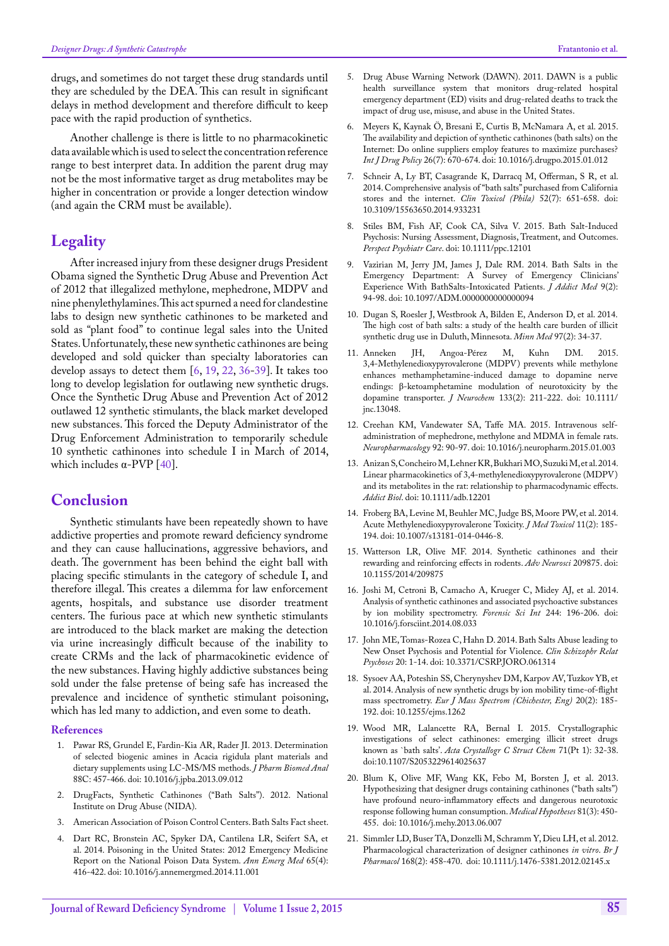drugs, and sometimes do not target these drug standards until they are scheduled by the DEA. This can result in significant delays in method development and therefore difficult to keep pace with the rapid production of synthetics.

Another challenge is there is little to no pharmacokinetic data available which is used to select the concentration reference range to best interpret data. In addition the parent drug may not be the most informative target as drug metabolites may be higher in concentration or provide a longer detection window (and again the CRM must be available).

# **Legality**

After increased injury from these designer drugs President Obama signed the Synthetic Drug Abuse and Prevention Act of 2012 that illegalized methylone, mephedrone, MDPV and nine phenylethylamines. This act spurned a need for clandestine labs to design new synthetic cathinones to be marketed and sold as "plant food" to continue legal sales into the United States. Unfortunately, these new synthetic cathinones are being developed and sold quicker than specialty laboratories can develop assays to detect them [[6,](#page-3-5) [19,](#page-3-11) [22,](#page-4-0) [36-](#page-4-14)[39\]](#page-4-15). It takes too long to develop legislation for outlawing new synthetic drugs. Once the Synthetic Drug Abuse and Prevention Act of 2012 outlawed 12 synthetic stimulants, the black market developed new substances. This forced the Deputy Administrator of the Drug Enforcement Administration to temporarily schedule 10 synthetic cathinones into schedule I in March of 2014, which includes  $\alpha$ -PVP [\[40](#page-4-16)].

# **Conclusion**

Synthetic stimulants have been repeatedly shown to have addictive properties and promote reward deficiency syndrome and they can cause hallucinations, aggressive behaviors, and death. The government has been behind the eight ball with placing specific stimulants in the category of schedule I, and therefore illegal. This creates a dilemma for law enforcement agents, hospitals, and substance use disorder treatment centers. The furious pace at which new synthetic stimulants are introduced to the black market are making the detection via urine increasingly difficult because of the inability to create CRMs and the lack of pharmacokinetic evidence of the new substances. Having highly addictive substances being sold under the false pretense of being safe has increased the prevalence and incidence of synthetic stimulant poisoning, which has led many to addiction, and even some to death.

#### **References**

- <span id="page-3-0"></span>1. [Pawar RS, Grundel E, Fardin-Kia AR, Rader JI. 2013. Determination](http://www.ncbi.nlm.nih.gov/pubmed/24176750)  [of selected biogenic amines in Acacia rigidula plant materials and](http://www.ncbi.nlm.nih.gov/pubmed/24176750)  [dietary supplements using LC-MS/MS methods.](http://www.ncbi.nlm.nih.gov/pubmed/24176750) *J Pharm Biomed Anal* [88C: 457-466.](http://www.ncbi.nlm.nih.gov/pubmed/24176750) doi: 10.1016/j.jpba.2013.09.012
- <span id="page-3-1"></span>2. [DrugFacts, Synthetic Cathinones \("Bath Salts"\). 2012. National](http://www.drugabuse.gov/publications/drugfacts/synthetic-cathinones-bath-salts)  [Institute on Drug Abuse \(NIDA\).](http://www.drugabuse.gov/publications/drugfacts/synthetic-cathinones-bath-salts)
- <span id="page-3-2"></span>3. [American Association of Poison Control Centers. Bath Salts Fact sheet.](http://www.aapcc.org/alerts/bath-salts/)
- <span id="page-3-3"></span>4. [Dart RC, Bronstein AC, Spyker DA, Cantilena LR, Seifert SA, et](http://www.ncbi.nlm.nih.gov/pubmed/25523411)  [al. 2014. Poisoning in the United States: 2012 Emergency Medicine](http://www.ncbi.nlm.nih.gov/pubmed/25523411)  [Report on the National Poison Data System.](http://www.ncbi.nlm.nih.gov/pubmed/25523411) *Ann Emerg Med* 65(4): [416-422.](http://www.ncbi.nlm.nih.gov/pubmed/25523411) doi: 10.1016/j.annemergmed.2014.11.001
- <span id="page-3-4"></span>5. [Drug Abuse Warning Network \(DAWN\). 2011. DAWN is a public](http://www.samhsa.gov/data/sites/default/files/spot117-bath-salts-2013/spot117-bath-salts-2013.pdf)  [health surveillance system that monitors drug-related hospital](http://www.samhsa.gov/data/sites/default/files/spot117-bath-salts-2013/spot117-bath-salts-2013.pdf)  [emergency department \(ED\) visits and drug-related deaths to track the](http://www.samhsa.gov/data/sites/default/files/spot117-bath-salts-2013/spot117-bath-salts-2013.pdf)  [impact of drug use, misuse, and abuse in the United States.](http://www.samhsa.gov/data/sites/default/files/spot117-bath-salts-2013/spot117-bath-salts-2013.pdf)
- <span id="page-3-5"></span>6. [Meyers K, Kaynak Ö, Bresani E, Curtis B, McNamara A, et al. 2015.](http://www.ncbi.nlm.nih.gov/pubmed/25641258)  [The availability and depiction of synthetic cathinones \(bath salts\) on the](http://www.ncbi.nlm.nih.gov/pubmed/25641258)  [Internet: Do online suppliers employ features to maximize purchases?](http://www.ncbi.nlm.nih.gov/pubmed/25641258)  *[Int J Drug Policy](http://www.ncbi.nlm.nih.gov/pubmed/25641258)* 26(7): 670-674. doi: 10.1016/j.drugpo.2015.01.012
- <span id="page-3-6"></span>7. [Schneir A, Ly BT, Casagrande K, Darracq M, Offerman, S R, et al.](http://www.ncbi.nlm.nih.gov/pubmed/25089721)  [2014. Comprehensive analysis of "bath salts" purchased from California](http://www.ncbi.nlm.nih.gov/pubmed/25089721)  [stores and the internet.](http://www.ncbi.nlm.nih.gov/pubmed/25089721) *Clin Toxicol (Phila)* 52(7): 651-658. doi: 10.3109/15563650.2014.933231
- <span id="page-3-7"></span>8. [Stiles BM, Fish AF, Cook CA, Silva V. 2015. Bath Salt-Induced](http://www.ncbi.nlm.nih.gov/pubmed/25624142)  [Psychosis: Nursing Assessment, Diagnosis, Treatment, and Outcomes.](http://www.ncbi.nlm.nih.gov/pubmed/25624142)  *[Perspect Psychiatr Care](http://www.ncbi.nlm.nih.gov/pubmed/25624142)*. doi: 10.1111/ppc.12101
- <span id="page-3-8"></span>9. [Vazirian M, Jerry JM, James J, Dale RM. 2014. Bath Salts in the](http://www.ncbi.nlm.nih.gov/pubmed/25525943)  [Emergency Department: A Survey of Emergency Clinicians'](http://www.ncbi.nlm.nih.gov/pubmed/25525943)  [Experience With BathSalts-Intoxicated Patients.](http://www.ncbi.nlm.nih.gov/pubmed/25525943) *J Addict Med* 9(2): [94-98.](http://www.ncbi.nlm.nih.gov/pubmed/25525943) doi: 10.1097/ADM.0000000000000094
- <span id="page-3-9"></span>10. [Dugan S, Roesler J, Westbrook A, Bilden E, Anderson D, et al. 2014.](http://www.ncbi.nlm.nih.gov/pubmed/24724247) [The high cost of bath salts: a study of the health care burden of illicit](http://www.ncbi.nlm.nih.gov/pubmed/24724247)  [synthetic drug use in Duluth, Minnesota.](http://www.ncbi.nlm.nih.gov/pubmed/24724247) *Minn Med* 97(2): 34-37.
- <span id="page-3-10"></span>11. [Anneken JH, Angoa-Pérez M, Kuhn DM. 2015.](http://www.ncbi.nlm.nih.gov/pubmed/25626880)  [3,4-Methylenedioxypyrovalerone \(MDPV\) prevents while methylone](http://www.ncbi.nlm.nih.gov/pubmed/25626880)  [enhances methamphetamine-induced damage to dopamine nerve](http://www.ncbi.nlm.nih.gov/pubmed/25626880)  endings: β[-ketoamphetamine modulation of neurotoxicity by the](http://www.ncbi.nlm.nih.gov/pubmed/25626880)  [dopamine transporter.](http://www.ncbi.nlm.nih.gov/pubmed/25626880) *J Neurochem* 133(2): 211-222. doi: 10.1111/ jnc.13048.
- <span id="page-3-15"></span>12. [Creehan KM, Vandewater SA, Taffe MA. 2015. Intravenous self](http://www.ncbi.nlm.nih.gov/pubmed/25600245)[administration of mephedrone, methylone and MDMA in female rats.](http://www.ncbi.nlm.nih.gov/pubmed/25600245)  *[Neuropharmacology](http://www.ncbi.nlm.nih.gov/pubmed/25600245)* 92: 90-97. doi: 10.1016/j.neuropharm.2015.01.003
- <span id="page-3-16"></span>13. [Anizan S, Concheiro M, Lehner KR, Bukhari MO, Suzuki M, et al. 2014.](http://www.ncbi.nlm.nih.gov/pubmed/25475011)  [Linear pharmacokinetics of 3,4-methylenedioxypyrovalerone \(MDPV\)](http://www.ncbi.nlm.nih.gov/pubmed/25475011)  [and its metabolites in the rat: relationship to pharmacodynamic effects.](http://www.ncbi.nlm.nih.gov/pubmed/25475011)  *[Addict Biol](http://www.ncbi.nlm.nih.gov/pubmed/25475011)*. doi: 10.1111/adb.12201
- 14. [Froberg BA, Levine M, Beuhler MC, Judge BS, Moore PW, et al. 2014.](http://www.ncbi.nlm.nih.gov/pubmed/25468313)  [Acute Methylenedioxypyrovalerone Toxicity.](http://www.ncbi.nlm.nih.gov/pubmed/25468313) *J Med Toxicol* 11(2): 185- [194.](http://www.ncbi.nlm.nih.gov/pubmed/25468313) doi: 10.1007/s13181-014-0446-8.
- <span id="page-3-14"></span>15. [Watterson LR, Olive MF. 2014. Synthetic cathinones and their](http://www.hindawi.com/journals/aneu/2014/209875/)  [rewarding and reinforcing effects in rodents.](http://www.hindawi.com/journals/aneu/2014/209875/) *Adv Neurosci* 209875. doi: 10.1155/2014/209875
- 16. [Joshi M, Cetroni B, Camacho A, Krueger C, Midey AJ, et al. 2014.](http://www.ncbi.nlm.nih.gov/pubmed/25259942)  [Analysis of synthetic cathinones and associated psychoactive substances](http://www.ncbi.nlm.nih.gov/pubmed/25259942)  [by ion mobility spectrometry.](http://www.ncbi.nlm.nih.gov/pubmed/25259942) *Forensic Sci Int* 244: 196-206. doi: 10.1016/j.forsciint.2014.08.033
- 17. [John ME, Tomas-Rozea C, Hahn D. 2014. Bath Salts Abuse leading to](http://www.ncbi.nlm.nih.gov/pubmed/24951715)  [New Onset Psychosis and Potential for Violence.](http://www.ncbi.nlm.nih.gov/pubmed/24951715) *Clin Schizophr Relat Psychoses* [20: 1-14.](http://www.ncbi.nlm.nih.gov/pubmed/24951715) doi: 10.3371/CSRP.JORO.061314
- 18. [Sysoev AA, Poteshin SS, Cherynyshev DM, Karpov AV, Tuzkov YB, et](http://www.ncbi.nlm.nih.gov/pubmed/24895779)  [al. 2014. Analysis of new synthetic drugs by ion mobility time-of-flight](http://www.ncbi.nlm.nih.gov/pubmed/24895779)  mass spectrometry. *[Eur J Mass Spectrom \(Chichester, Eng\)](http://www.ncbi.nlm.nih.gov/pubmed/24895779)* 20(2): 185- [192.](http://www.ncbi.nlm.nih.gov/pubmed/24895779) doi: 10.1255/ejms.1262
- <span id="page-3-11"></span>19. [Wood MR, Lalancette RA, Bernal I. 2015. Crystallographic](http://www.ncbi.nlm.nih.gov/pubmed/25567572)  [investigations of select cathinones: emerging illicit street drugs](http://www.ncbi.nlm.nih.gov/pubmed/25567572)  known as `bath salts'. *[Acta Crystallogr C Struct Chem](http://www.ncbi.nlm.nih.gov/pubmed/25567572)* 71(Pt 1): 32-38. doi:10.1107/S2053229614025637
- <span id="page-3-12"></span>20. [Blum K, Olive MF, Wang KK, Febo M, Borsten J, et al. 2013.](http://www.ncbi.nlm.nih.gov/pubmed/23845561)  [Hypothesizing that designer drugs containing cathinones \("bath salts"\)](http://www.ncbi.nlm.nih.gov/pubmed/23845561)  [have profound neuro-inflammatory effects and dangerous neurotoxic](http://www.ncbi.nlm.nih.gov/pubmed/23845561)  [response following human consumption.](http://www.ncbi.nlm.nih.gov/pubmed/23845561) *Medical Hypotheses* 81(3): 450- [455.](http://www.ncbi.nlm.nih.gov/pubmed/23845561) doi: 10.1016/j.mehy.2013.06.007
- <span id="page-3-13"></span>21. [Simmler LD, Buser TA, Donzelli M, Schramm Y, Dieu LH, et al. 2012.](http://www.ncbi.nlm.nih.gov/pubmed/22897747)  [Pharmacological characterization of designer cathinones](http://www.ncbi.nlm.nih.gov/pubmed/22897747) *in vitro*. *Br J Pharmacol* [168\(2\): 458-470.](http://www.ncbi.nlm.nih.gov/pubmed/22897747) doi: 10.1111/j.1476-5381.2012.02145.x